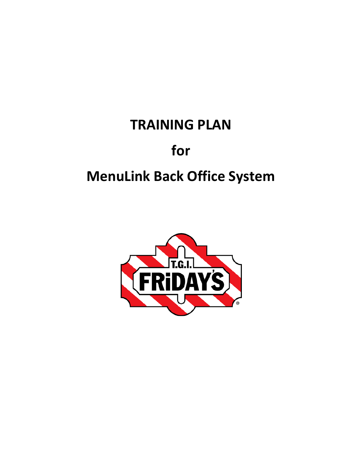# **TRAINING PLAN**

# **for**

# **MenuLink Back Office System**

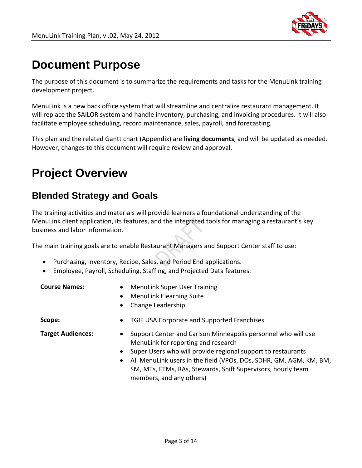

## **Document Purpose**

The purpose of this document is to summarize the requirements and tasks for the MenuLink training development project.

MenuLink is a new back office system that will streamline and centralize restaurant management. It will replace the SAILOR system and handle inventory, purchasing, and invoicing procedures. It will also facilitate employee scheduling, record maintenance, sales, payroll, and forecasting.

This plan and the related Gantt chart (Appendix) are **living documents**, and will be updated as needed. However, changes to this document will require review and approval.

# **Project Overview**

## **Blended Strategy and Goals**

The training activities and materials will provide learners a foundational understanding of the MenuLink client application, its features, and the integrated tools for managing a restaurant's key business and labor information.

The main training goals are to enable Restaurant Managers and Support Center staff to use:

- Purchasing, Inventory, Recipe, Sales, and Period End applications.
- Employee, Payroll, Scheduling, Staffing, and Projected Data features.

| <b>Course Names:</b> |
|----------------------|
|                      |

- **Course Names:**  MenuLink Super User Training
- MenuLink Elearning Suite
- Change Leadership

- **Scope:** TGIF USA Corporate and Supported Franchises
- **Target Audiences:** Support Center and Carlson Minneapolis personnel who will use MenuLink for reporting and research
	- Super Users who will provide regional support to restaurants
	- All MenuLink users in the field (VPOs, DOs, SDHR, GM, AGM, KM, BM, SM, MTs, FTMs, RAs, Stewards, Shift Supervisors, hourly team members, and any others)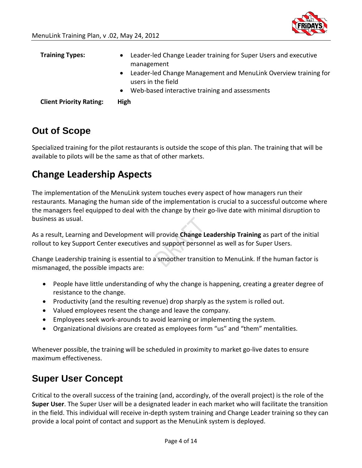

| <b>Training Types:</b>         | Leader-led Change Leader training for Super Users and executive<br>$\bullet$<br>management         |
|--------------------------------|----------------------------------------------------------------------------------------------------|
|                                | Leader-led Change Management and MenuLink Overview training for<br>$\bullet$<br>users in the field |
|                                | Web-based interactive training and assessments<br>$\bullet$                                        |
| <b>Client Priority Rating:</b> | High                                                                                               |

## **Out of Scope**

Specialized training for the pilot restaurants is outside the scope of this plan. The training that will be available to pilots will be the same as that of other markets.

## **Change Leadership Aspects**

The implementation of the MenuLink system touches every aspect of how managers run their restaurants. Managing the human side of the implementation is crucial to a successful outcome where the managers feel equipped to deal with the change by their go-live date with minimal disruption to business as usual.

As a result, Learning and Development will provide **Change Leadership Training** as part of the initial rollout to key Support Center executives and support personnel as well as for Super Users.

Change Leadership training is essential to a smoother transition to MenuLink. If the human factor is mismanaged, the possible impacts are:

- People have little understanding of why the change is happening, creating a greater degree of resistance to the change.
- Productivity (and the resulting revenue) drop sharply as the system is rolled out.
- Valued employees resent the change and leave the company.
- Employees seek work-arounds to avoid learning or implementing the system.
- Organizational divisions are created as employees form "us" and "them" mentalities.

Whenever possible, the training will be scheduled in proximity to market go-live dates to ensure maximum effectiveness.

## **Super User Concept**

Critical to the overall success of the training (and, accordingly, of the overall project) is the role of the **Super User**. The Super User will be a designated leader in each market who will facilitate the transition in the field. This individual will receive in-depth system training and Change Leader training so they can provide a local point of contact and support as the MenuLink system is deployed.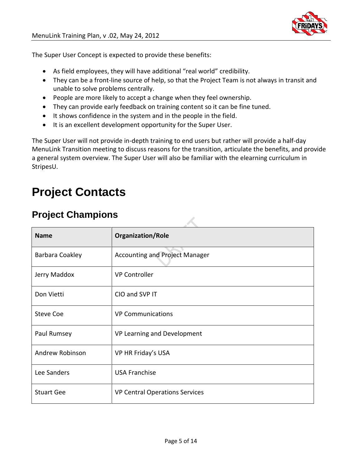The Super User Concept is expected to provide these benefits:

- As field employees, they will have additional "real world" credibility.
- They can be a front-line source of help, so that the Project Team is not always in transit and unable to solve problems centrally.
- People are more likely to accept a change when they feel ownership.
- They can provide early feedback on training content so it can be fine tuned.
- It shows confidence in the system and in the people in the field.
- It is an excellent development opportunity for the Super User.

The Super User will not provide in-depth training to end users but rather will provide a half-day MenuLink Transition meeting to discuss reasons for the transition, articulate the benefits, and provide a general system overview. The Super User will also be familiar with the elearning curriculum in StripesU.

## **Project Contacts**

## **Project Champions**

| <b>Name</b>       | <b>Organization/Role</b>              |
|-------------------|---------------------------------------|
| Barbara Coakley   | <b>Accounting and Project Manager</b> |
| Jerry Maddox      | <b>VP Controller</b>                  |
| Don Vietti        | CIO and SVP IT                        |
| <b>Steve Coe</b>  | <b>VP Communications</b>              |
| Paul Rumsey       | VP Learning and Development           |
| Andrew Robinson   | VP HR Friday's USA                    |
| Lee Sanders       | <b>USA Franchise</b>                  |
| <b>Stuart Gee</b> | <b>VP Central Operations Services</b> |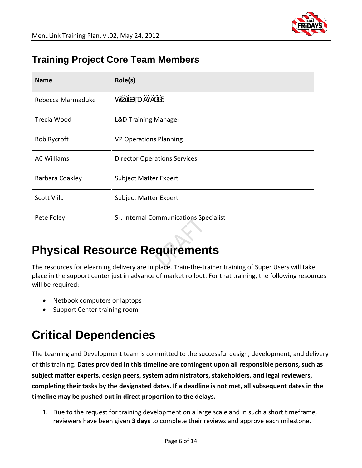

## **Training Project Core Team Members**

| <b>Name</b>        | Role(s)                                |
|--------------------|----------------------------------------|
| Rebecca Marmaduke  | ľU<br>h                                |
| Trecia Wood        | <b>L&amp;D Training Manager</b>        |
| <b>Bob Rycroft</b> | <b>VP Operations Planning</b>          |
| <b>AC Williams</b> | <b>Director Operations Services</b>    |
| Barbara Coakley    | <b>Subject Matter Expert</b>           |
| <b>Scott Viilu</b> | <b>Subject Matter Expert</b>           |
| Pete Foley         | Sr. Internal Communications Specialist |

# **Physical Resource Requirements**

The resources for elearning delivery are in place. Train-the-trainer training of Super Users will take place in the support center just in advance of market rollout. For that training, the following resources will be required:

- Netbook computers or laptops
- Support Center training room

# **Critical Dependencies**

The Learning and Development team is committed to the successful design, development, and delivery of this training. **Dates provided in this timeline are contingent upon all responsible persons, such as subject matter experts, design peers, system administrators, stakeholders, and legal reviewers, completing their tasks by the designated dates. If a deadline is not met, all subsequent dates in the timeline may be pushed out in direct proportion to the delays.**

1. Due to the request for training development on a large scale and in such a short timeframe, reviewers have been given **3 days** to complete their reviews and approve each milestone.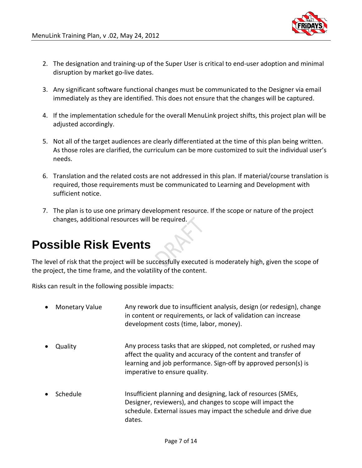

- 2. The designation and training-up of the Super User is critical to end-user adoption and minimal disruption by market go-live dates.
- 3. Any significant software functional changes must be communicated to the Designer via email immediately as they are identified. This does not ensure that the changes will be captured.
- 4. If the implementation schedule for the overall MenuLink project shifts, this project plan will be adjusted accordingly.
- 5. Not all of the target audiences are clearly differentiated at the time of this plan being written. As those roles are clarified, the curriculum can be more customized to suit the individual user's needs.
- 6. Translation and the related costs are not addressed in this plan. If material/course translation is required, those requirements must be communicated to Learning and Development with sufficient notice.
- 7. The plan is to use one primary development resource. If the scope or nature of the project changes, additional resources will be required.

## **Possible Risk Events**

The level of risk that the project will be successfully executed is moderately high, given the scope of the project, the time frame, and the volatility of the content.

Risks can result in the following possible impacts:

- Monetary Value Any rework due to insufficient analysis, design (or redesign), change in content or requirements, or lack of validation can increase development costs (time, labor, money). • Quality Any process tasks that are skipped, not completed, or rushed may affect the quality and accuracy of the content and transfer of learning and job performance. Sign-off by approved person(s) is imperative to ensure quality. • Schedule **Insufficient planning and designing, lack of resources (SMEs,** Designer, reviewers), and changes to scope will impact the
	- schedule. External issues may impact the schedule and drive due dates.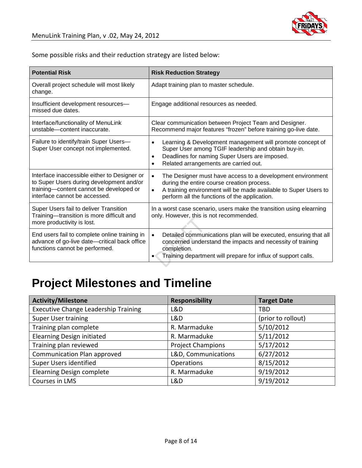

Some possible risks and their reduction strategy are listed below:

| <b>Potential Risk</b>                                                                                                                                                | <b>Risk Reduction Strategy</b>                                                                                                                                                                                                                         |  |
|----------------------------------------------------------------------------------------------------------------------------------------------------------------------|--------------------------------------------------------------------------------------------------------------------------------------------------------------------------------------------------------------------------------------------------------|--|
| Overall project schedule will most likely<br>change.                                                                                                                 | Adapt training plan to master schedule.                                                                                                                                                                                                                |  |
| Insufficient development resources-<br>missed due dates.                                                                                                             | Engage additional resources as needed.                                                                                                                                                                                                                 |  |
| Interface/functionality of MenuLink<br>unstable-content inaccurate.                                                                                                  | Clear communication between Project Team and Designer.<br>Recommend major features "frozen" before training go-live date.                                                                                                                              |  |
| Failure to identify/train Super Users-<br>Super User concept not implemented.                                                                                        | Learning & Development management will promote concept of<br>$\bullet$<br>Super User among TGIF leadership and obtain buy-in.<br>Deadlines for naming Super Users are imposed.<br>$\bullet$<br>Related arrangements are carried out.<br>$\bullet$      |  |
| Interface inaccessible either to Designer or<br>to Super Users during development and/or<br>training-content cannot be developed or<br>interface cannot be accessed. | The Designer must have access to a development environment<br>$\bullet$<br>during the entire course creation process.<br>A training environment will be made available to Super Users to<br>$\bullet$<br>perform all the functions of the application. |  |
| Super Users fail to deliver Transition<br>Training-transition is more difficult and<br>more productivity is lost.                                                    | In a worst case scenario, users make the transition using elearning<br>only. However, this is not recommended.                                                                                                                                         |  |
| End users fail to complete online training in<br>advance of go-live date-critical back office<br>functions cannot be performed.                                      | Detailed communications plan will be executed, ensuring that all<br>$\bullet$<br>concerned understand the impacts and necessity of training<br>completion.<br>Training department will prepare for influx of support calls.<br>٠                       |  |

# **Project Milestones and Timeline**

| <b>Activity/Milestone</b>                   | <b>Responsibility</b>    | <b>Target Date</b> |
|---------------------------------------------|--------------------------|--------------------|
| <b>Executive Change Leadership Training</b> | L&D                      | <b>TBD</b>         |
| <b>Super User training</b>                  | L&D                      | (prior to rollout) |
| Training plan complete                      | R. Marmaduke             | 5/10/2012          |
| <b>Elearning Design initiated</b>           | R. Marmaduke             | 5/11/2012          |
| Training plan reviewed                      | <b>Project Champions</b> | 5/17/2012          |
| Communication Plan approved                 | L&D, Communications      | 6/27/2012          |
| Super Users identified                      | Operations               | 8/15/2012          |
| Elearning Design complete                   | R. Marmaduke             | 9/19/2012          |
| Courses in LMS                              | L&D                      | 9/19/2012          |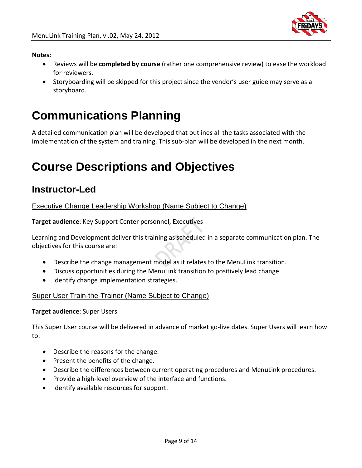

#### **Notes:**

- Reviews will be **completed by course** (rather one comprehensive review) to ease the workload for reviewers.
- Storyboarding will be skipped for this project since the vendor's user guide may serve as a storyboard.

## **Communications Planning**

A detailed communication plan will be developed that outlines all the tasks associated with the implementation of the system and training. This sub-plan will be developed in the next month.

# **Course Descriptions and Objectives**

## **Instructor-Led**

Executive Change Leadership Workshop (Name Subject to Change)

**Target audience**: Key Support Center personnel, Executives

Learning and Development deliver this training as scheduled in a separate communication plan. The objectives for this course are:

- Describe the change management model as it relates to the MenuLink transition.
- Discuss opportunities during the MenuLink transition to positively lead change.
- Identify change implementation strategies.

### Super User Train-the-Trainer (Name Subject to Change)

### **Target audience**: Super Users

This Super User course will be delivered in advance of market go-live dates. Super Users will learn how to:

- Describe the reasons for the change.
- Present the benefits of the change.
- Describe the differences between current operating procedures and MenuLink procedures.
- Provide a high-level overview of the interface and functions.
- Identify available resources for support.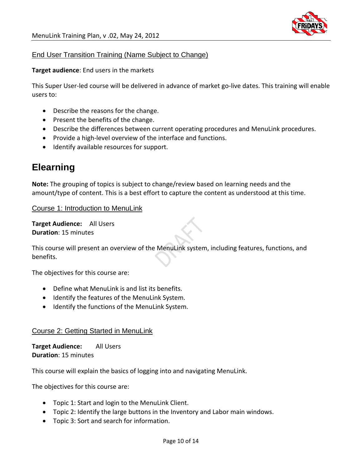

## End User Transition Training (Name Subject to Change)

**Target audience**: End users in the markets

This Super User-led course will be delivered in advance of market go-live dates. This training will enable users to:

- Describe the reasons for the change.
- Present the benefits of the change.
- Describe the differences between current operating procedures and MenuLink procedures.
- Provide a high-level overview of the interface and functions.
- Identify available resources for support.

## **Elearning**

**Note:** The grouping of topics is subject to change/review based on learning needs and the amount/type of content. This is a best effort to capture the content as understood at this time.

Course 1: Introduction to MenuLink

**Target Audience:** All Users **Duration**: 15 minutes

This course will present an overview of the MenuLink system, including features, functions, and benefits.

The objectives for this course are:

- Define what MenuLink is and list its benefits.
- Identify the features of the MenuLink System.
- Identify the functions of the MenuLink System.

### Course 2: Getting Started in MenuLink

**Target Audience:** All Users **Duration**: 15 minutes

This course will explain the basics of logging into and navigating MenuLink.

- Topic 1: Start and login to the MenuLink Client.
- Topic 2: Identify the large buttons in the Inventory and Labor main windows.
- Topic 3: Sort and search for information.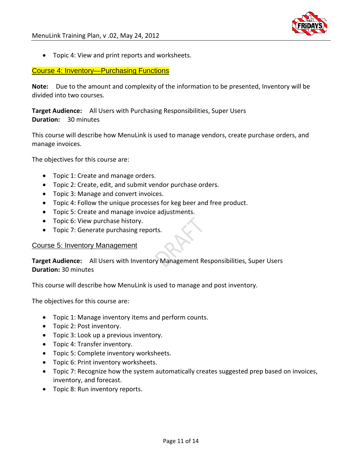

• Topic 4: View and print reports and worksheets.

### Course 4: Inventory—Purchasing Functions

**Note:** Due to the amount and complexity of the information to be presented, Inventory will be divided into two courses.

**Target Audience:** All Users with Purchasing Responsibilities, Super Users **Duration:** 30 minutes

This course will describe how MenuLink is used to manage vendors, create purchase orders, and manage invoices.

The objectives for this course are:

- Topic 1: Create and manage orders.
- Topic 2: Create, edit, and submit vendor purchase orders.
- Topic 3: Manage and convert invoices.
- Topic 4: Follow the unique processes for keg beer and free product.
- Topic 5: Create and manage invoice adjustments.
- Topic 6: View purchase history.
- Topic 7: Generate purchasing reports.

#### Course 5: Inventory Management

**Target Audience:** All Users with Inventory Management Responsibilities, Super Users **Duration:** 30 minutes

This course will describe how MenuLink is used to manage and post inventory.

- Topic 1: Manage inventory items and perform counts.
- Topic 2: Post inventory.
- Topic 3: Look up a previous inventory.
- Topic 4: Transfer inventory.
- Topic 5: Complete inventory worksheets.
- Topic 6: Print inventory worksheets.
- Topic 7: Recognize how the system automatically creates suggested prep based on invoices, inventory, and forecast.
- Topic 8: Run inventory reports.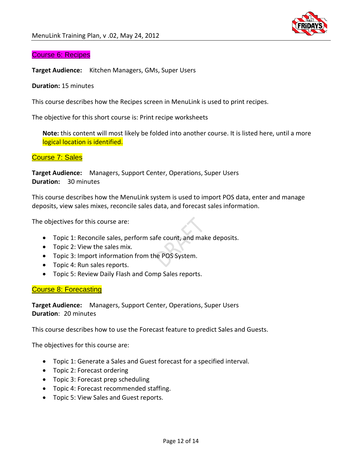

#### Course 6: Recipes

**Target Audience:** Kitchen Managers, GMs, Super Users

#### **Duration:** 15 minutes

This course describes how the Recipes screen in MenuLink is used to print recipes.

The objective for this short course is: Print recipe worksheets

**Note:** this content will most likely be folded into another course. It is listed here, until a more logical location is identified.

#### Course 7: Sales

**Target Audience:** Managers, Support Center, Operations, Super Users **Duration:** 30 minutes

This course describes how the MenuLink system is used to import POS data, enter and manage deposits, view sales mixes, reconcile sales data, and forecast sales information.

The objectives for this course are:

- Topic 1: Reconcile sales, perform safe count, and make deposits.
- Topic 2: View the sales mix.
- Topic 3: Import information from the POS System.
- Topic 4: Run sales reports.
- Topic 5: Review Daily Flash and Comp Sales reports.

#### Course 8: Forecasting

**Target Audience:** Managers, Support Center, Operations, Super Users **Duration**: 20 minutes

This course describes how to use the Forecast feature to predict Sales and Guests.

- Topic 1: Generate a Sales and Guest forecast for a specified interval.
- Topic 2: Forecast ordering
- Topic 3: Forecast prep scheduling
- Topic 4: Forecast recommended staffing.
- Topic 5: View Sales and Guest reports.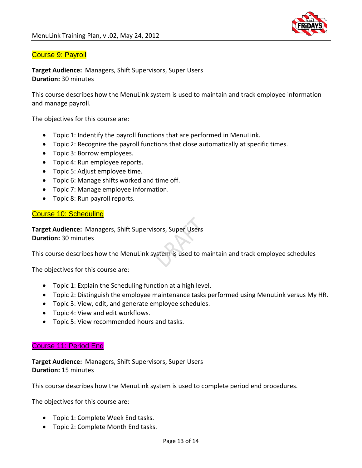

### Course 9: Payroll

**Target Audience:** Managers, Shift Supervisors, Super Users **Duration:** 30 minutes

This course describes how the MenuLink system is used to maintain and track employee information and manage payroll.

The objectives for this course are:

- Topic 1: Indentify the payroll functions that are performed in MenuLink.
- Topic 2: Recognize the payroll functions that close automatically at specific times.
- Topic 3: Borrow employees.
- Topic 4: Run employee reports.
- Topic 5: Adjust employee time.
- Topic 6: Manage shifts worked and time off.
- Topic 7: Manage employee information.
- Topic 8: Run payroll reports.

#### Course 10: Scheduling

**Target Audience:** Managers, Shift Supervisors, Super Users **Duration:** 30 minutes

This course describes how the MenuLink system is used to maintain and track employee schedules

The objectives for this course are:

- Topic 1: Explain the Scheduling function at a high level.
- Topic 2: Distinguish the employee maintenance tasks performed using MenuLink versus My HR.
- Topic 3: View, edit, and generate employee schedules.
- Topic 4: View and edit workflows.
- Topic 5: View recommended hours and tasks.

#### Course 11: Period End

**Target Audience:** Managers, Shift Supervisors, Super Users **Duration:** 15 minutes

This course describes how the MenuLink system is used to complete period end procedures.

- Topic 1: Complete Week End tasks.
- Topic 2: Complete Month End tasks.